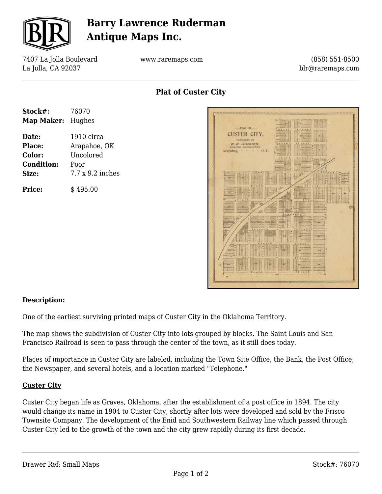

# **Barry Lawrence Ruderman Antique Maps Inc.**

7407 La Jolla Boulevard La Jolla, CA 92037

www.raremaps.com

(858) 551-8500 blr@raremaps.com

## **Plat of Custer City**

| Stock#:           | 76070                   |
|-------------------|-------------------------|
| Map Maker: Hughes |                         |
| Date:             | 1910 circa              |
| Place:            | Arapahoe, OK            |
| Color:            | Uncolored               |
| <b>Condition:</b> | Poor                    |
| Size:             | $7.7 \times 9.2$ inches |
| <b>Price:</b>     | \$495.00                |



### **Description:**

One of the earliest surviving printed maps of Custer City in the Oklahoma Territory.

The map shows the subdivision of Custer City into lots grouped by blocks. The Saint Louis and San Francisco Railroad is seen to pass through the center of the town, as it still does today.

Places of importance in Custer City are labeled, including the Town Site Office, the Bank, the Post Office, the Newspaper, and several hotels, and a location marked "Telephone."

### **Custer City**

Custer City began life as Graves, Oklahoma, after the establishment of a post office in 1894. The city would change its name in 1904 to Custer City, shortly after lots were developed and sold by the Frisco Townsite Company. The development of the Enid and Southwestern Railway line which passed through Custer City led to the growth of the town and the city grew rapidly during its first decade.